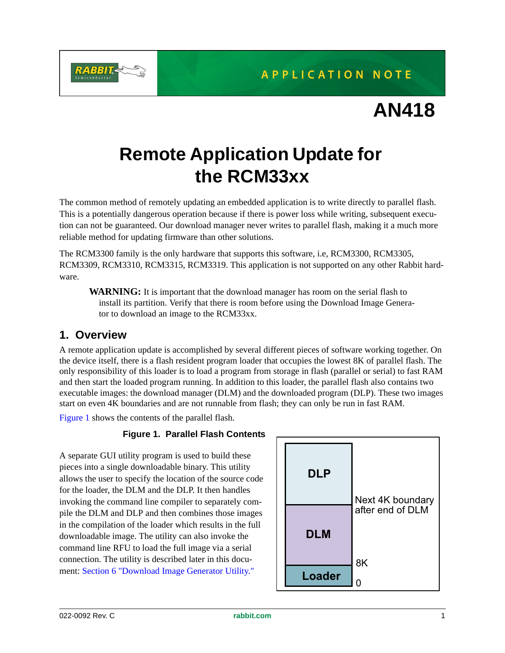

# **Remote Application Update for the RCM33xx**

The common method of remotely updating an embedded application is to write directly to parallel flash. This is a potentially dangerous operation because if there is power loss while writing, subsequent execution can not be guaranteed. Our download manager never writes to parallel flash, making it a much more reliable method for updating firmware than other solutions.

The RCM3300 family is the only hardware that supports this software, i.e, RCM3300, RCM3305, RCM3309, RCM3310, RCM3315, RCM3319. This application is not supported on any other Rabbit hardware.

**WARNING:** It is important that the download manager has room on the serial flash to install its partition. Verify that there is room before using the Download Image Generator to download an image to the RCM33xx.

# **1. Overview**

A remote application update is accomplished by several different pieces of software working together. On the device itself, there is a flash resident program loader that occupies the lowest 8K of parallel flash. The only responsibility of this loader is to load a program from storage in flash (parallel or serial) to fast RAM and then start the loaded program running. In addition to this loader, the parallel flash also contains two executable images: the download manager (DLM) and the downloaded program (DLP). These two images start on even 4K boundaries and are not runnable from flash; they can only be run in fast RAM.

<span id="page-0-0"></span>[Figure 1](#page-0-0) shows the contents of the parallel flash.

### **Figure 1. Parallel Flash Contents**

A separate GUI utility program is used to build these pieces into a single downloadable binary. This utility allows the user to specify the location of the source code for the loader, the DLM and the DLP. It then handles invoking the command line compiler to separately compile the DLM and DLP and then combines those images in the compilation of the loader which results in the full downloadable image. The utility can also invoke the command line RFU to load the full image via a serial connection. The utility is described later in this document: [Section 6 "Download Image Generator Utility."](#page-11-0)

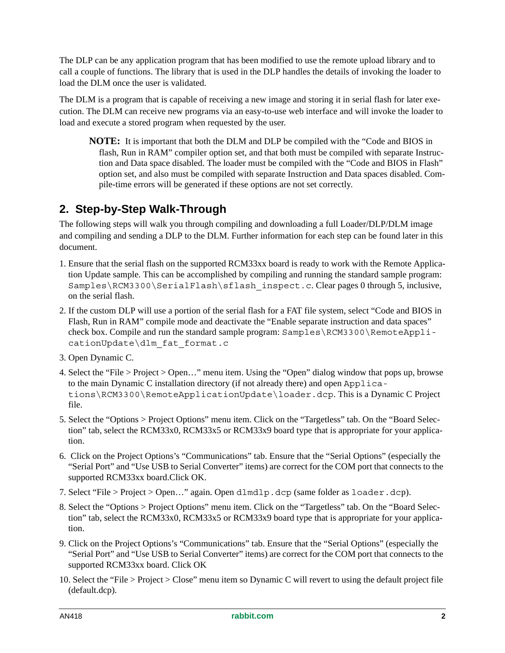The DLP can be any application program that has been modified to use the remote upload library and to call a couple of functions. The library that is used in the DLP handles the details of invoking the loader to load the DLM once the user is validated.

The DLM is a program that is capable of receiving a new image and storing it in serial flash for later execution. The DLM can receive new programs via an easy-to-use web interface and will invoke the loader to load and execute a stored program when requested by the user.

**NOTE:** It is important that both the DLM and DLP be compiled with the "Code and BIOS in flash, Run in RAM" compiler option set, and that both must be compiled with separate Instruction and Data space disabled. The loader must be compiled with the "Code and BIOS in Flash" option set, and also must be compiled with separate Instruction and Data spaces disabled. Compile-time errors will be generated if these options are not set correctly.

# **2. Step-by-Step Walk-Through**

The following steps will walk you through compiling and downloading a full Loader/DLP/DLM image and compiling and sending a DLP to the DLM. Further information for each step can be found later in this document.

- 1. Ensure that the serial flash on the supported RCM33xx board is ready to work with the Remote Application Update sample. This can be accomplished by compiling and running the standard sample program: Samples\RCM3300\SerialFlash\sflash\_inspect.c. Clear pages 0 through 5, inclusive, on the serial flash.
- 2. If the custom DLP will use a portion of the serial flash for a FAT file system, select "Code and BIOS in Flash, Run in RAM" compile mode and deactivate the "Enable separate instruction and data spaces" check box. Compile and run the standard sample program: Samples\RCM3300\RemoteApplicationUpdate\dlm\_fat\_format.c
- 3. Open Dynamic C.
- 4. Select the "File > Project > Open…" menu item. Using the "Open" dialog window that pops up, browse to the main Dynamic C installation directory (if not already there) and open Applications\RCM3300\RemoteApplicationUpdate\loader.dcp. This is a Dynamic C Project file.
- 5. Select the "Options > Project Options" menu item. Click on the "Targetless" tab. On the "Board Selection" tab, select the RCM33x0, RCM33x5 or RCM33x9 board type that is appropriate for your application.
- 6. Click on the Project Options's "Communications" tab. Ensure that the "Serial Options" (especially the "Serial Port" and "Use USB to Serial Converter" items) are correct for the COM port that connects to the supported RCM33xx board.Click OK.
- 7. Select "File > Project > Open…" again. Open dlmdlp.dcp (same folder as loader.dcp).
- 8. Select the "Options > Project Options" menu item. Click on the "Targetless" tab. On the "Board Selection" tab, select the RCM33x0, RCM33x5 or RCM33x9 board type that is appropriate for your application.
- 9. Click on the Project Options's "Communications" tab. Ensure that the "Serial Options" (especially the "Serial Port" and "Use USB to Serial Converter" items) are correct for the COM port that connects to the supported RCM33xx board. Click OK
- 10. Select the "File > Project > Close" menu item so Dynamic C will revert to using the default project file (default.dcp).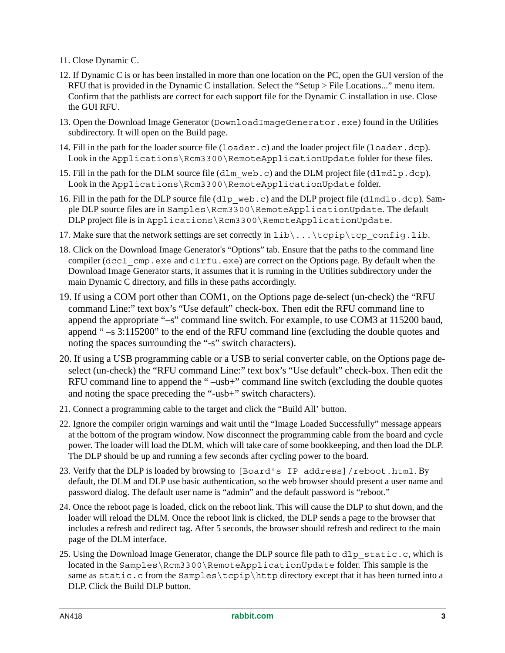11. Close Dynamic C.

- 12. If Dynamic C is or has been installed in more than one location on the PC, open the GUI version of the RFU that is provided in the Dynamic C installation. Select the "Setup > File Locations..." menu item. Confirm that the pathlists are correct for each support file for the Dynamic C installation in use. Close the GUI RFU.
- 13. Open the Download Image Generator (DownloadImageGenerator.exe) found in the Utilities subdirectory. It will open on the Build page.
- 14. Fill in the path for the loader source file (loader.c) and the loader project file (loader.dcp). Look in the Applications\Rcm3300\RemoteApplicationUpdate folder for these files.
- 15. Fill in the path for the DLM source file  $(d \text{lm} \text{ web. c})$  and the DLM project file  $(d \text{lmdlp.dep})$ . Look in the Applications\Rcm3300\RemoteApplicationUpdate folder.
- 16. Fill in the path for the DLP source file (dlp\_web.c) and the DLP project file (dlmdlp.dcp). Sample DLP source files are in Samples\Rcm3300\RemoteApplicationUpdate. The default DLP project file is in Applications\Rcm3300\RemoteApplicationUpdate.
- 17. Make sure that the network settings are set correctly in  $lib \ldots \t\tepip \t\ce{cpp}$  config.lib.
- 18. Click on the Download Image Generator's "Options" tab. Ensure that the paths to the command line compiler (dccl cmp.exe and clrfu.exe) are correct on the Options page. By default when the Download Image Generator starts, it assumes that it is running in the Utilities subdirectory under the main Dynamic C directory, and fills in these paths accordingly.
- 19. If using a COM port other than COM1, on the Options page de-select (un-check) the "RFU command Line:" text box's "Use default" check-box. Then edit the RFU command line to append the appropriate "–s" command line switch. For example, to use COM3 at 115200 baud, append " –s 3:115200" to the end of the RFU command line (excluding the double quotes and noting the spaces surrounding the "-s" switch characters).
- 20. If using a USB programming cable or a USB to serial converter cable, on the Options page deselect (un-check) the "RFU command Line:" text box's "Use default" check-box. Then edit the RFU command line to append the "-usb+" command line switch (excluding the double quotes and noting the space preceding the "-usb+" switch characters).
- 21. Connect a programming cable to the target and click the "Build All' button.
- 22. Ignore the compiler origin warnings and wait until the "Image Loaded Successfully" message appears at the bottom of the program window. Now disconnect the programming cable from the board and cycle power. The loader will load the DLM, which will take care of some bookkeeping, and then load the DLP. The DLP should be up and running a few seconds after cycling power to the board.
- 23. Verify that the DLP is loaded by browsing to [Board's IP address]/reboot.html. By default, the DLM and DLP use basic authentication, so the web browser should present a user name and password dialog. The default user name is "admin" and the default password is "reboot."
- 24. Once the reboot page is loaded, click on the reboot link. This will cause the DLP to shut down, and the loader will reload the DLM. Once the reboot link is clicked, the DLP sends a page to the browser that includes a refresh and redirect tag. After 5 seconds, the browser should refresh and redirect to the main page of the DLM interface.
- 25. Using the Download Image Generator, change the DLP source file path to dlp\_static.c, which is located in the Samples\Rcm3300\RemoteApplicationUpdate folder. This sample is the same as static.c from the Samples\tcpip\http directory except that it has been turned into a DLP. Click the Build DLP button.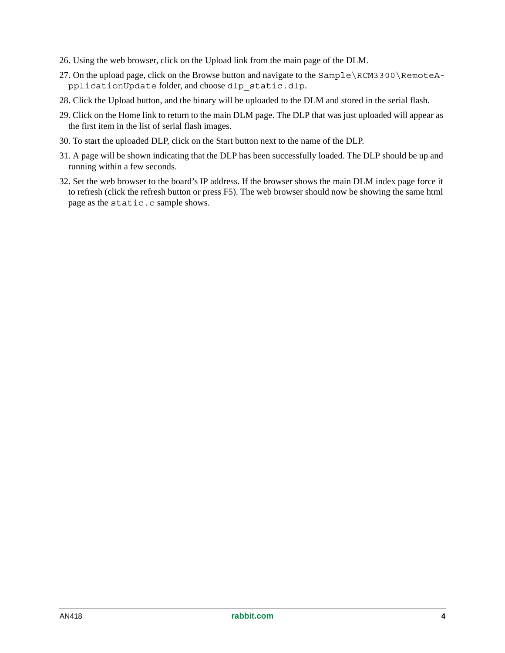- 26. Using the web browser, click on the Upload link from the main page of the DLM.
- 27. On the upload page, click on the Browse button and navigate to the Sample\RCM3300\RemoteApplicationUpdate folder, and choose dlp\_static.dlp.
- 28. Click the Upload button, and the binary will be uploaded to the DLM and stored in the serial flash.
- 29. Click on the Home link to return to the main DLM page. The DLP that was just uploaded will appear as the first item in the list of serial flash images.
- 30. To start the uploaded DLP, click on the Start button next to the name of the DLP.
- 31. A page will be shown indicating that the DLP has been successfully loaded. The DLP should be up and running within a few seconds.
- 32. Set the web browser to the board's IP address. If the browser shows the main DLM index page force it to refresh (click the refresh button or press F5). The web browser should now be showing the same html page as the static.c sample shows.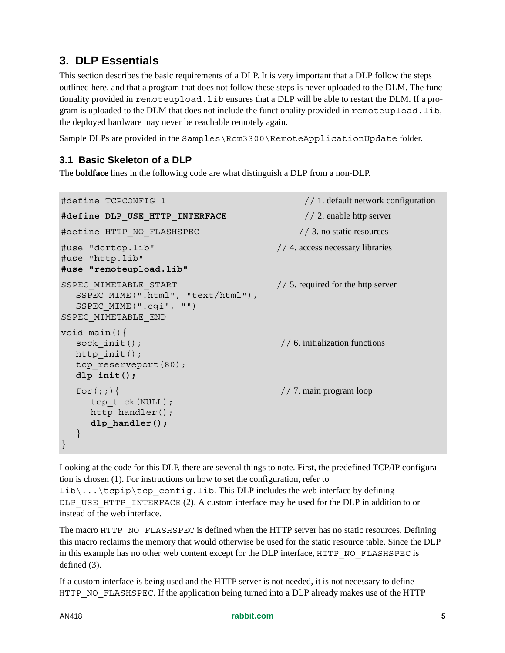# **3. DLP Essentials**

This section describes the basic requirements of a DLP. It is very important that a DLP follow the steps outlined here, and that a program that does not follow these steps is never uploaded to the DLM. The functionality provided in remoteupload.lib ensures that a DLP will be able to restart the DLM. If a program is uploaded to the DLM that does not include the functionality provided in remoteupload.lib, the deployed hardware may never be reachable remotely again.

Sample DLPs are provided in the Samples\Rcm3300\RemoteApplicationUpdate folder.

# <span id="page-4-0"></span>**3.1 Basic Skeleton of a DLP**

The **boldface** lines in the following code are what distinguish a DLP from a non-DLP.

```
#define TCPCONFIG 1 // 1. default network configuration
#define DLP USE HTTP INTERFACE // 2. enable http server
#define HTTP NO FLASHSPEC // 3. no static resources
#use "dcrtcp.lib" // 4. access necessary libraries 
#use "http.lib"
#use "remoteupload.lib"
SSPEC_MIMETABLE_START // 5. required for the http server
  SSPEC_MIME(".html", "text/html"),
  SSPEC MIME(".cqi", "")
SSPEC_MIMETABLE_END
void main(){
  sock init(); // 6. initialization functionshttp init();
  tcp_reserveport(80);
  dlp_init();
  for (i; i) \{ // 7. main program loop
    tcp_tick(NULL);
    http handler();
    dlp_handler();
  }
}
```
Looking at the code for this DLP, there are several things to note. First, the predefined TCP/IP configuration is chosen (1). For instructions on how to set the configuration, refer to lib $\ldots$  \tcpip\tcp\_config.lib. This DLP includes the web interface by defining DLP USE HTTP INTERFACE (2). A custom interface may be used for the DLP in addition to or instead of the web interface.

The macro HTTP\_NO\_FLASHSPEC is defined when the HTTP server has no static resources. Defining this macro reclaims the memory that would otherwise be used for the static resource table. Since the DLP in this example has no other web content except for the DLP interface, HTTP\_NO\_FLASHSPEC is defined (3).

If a custom interface is being used and the HTTP server is not needed, it is not necessary to define HTTP\_NO\_FLASHSPEC. If the application being turned into a DLP already makes use of the HTTP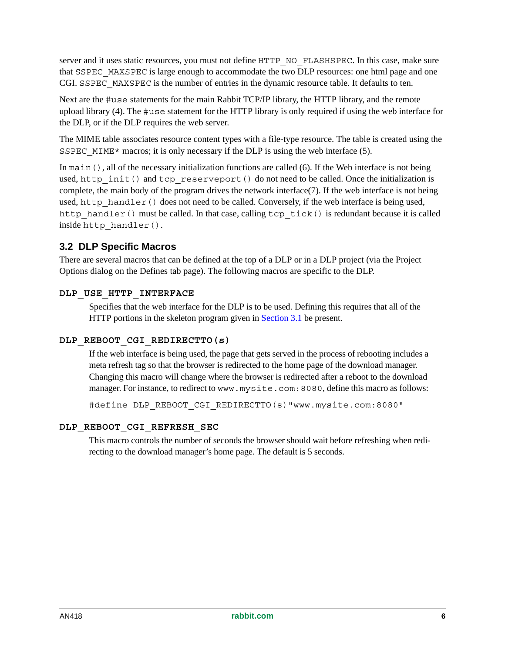server and it uses static resources, you must not define HTTP\_NO\_FLASHSPEC. In this case, make sure that SSPEC\_MAXSPEC is large enough to accommodate the two DLP resources: one html page and one CGI. SSPEC\_MAXSPEC is the number of entries in the dynamic resource table. It defaults to ten.

Next are the #use statements for the main Rabbit TCP/IP library, the HTTP library, and the remote upload library (4). The #use statement for the HTTP library is only required if using the web interface for the DLP, or if the DLP requires the web server.

The MIME table associates resource content types with a file-type resource. The table is created using the SSPEC MIME\* macros; it is only necessary if the DLP is using the web interface (5).

In main(), all of the necessary initialization functions are called  $(6)$ . If the Web interface is not being used, http\_init() and tcp\_reserveport() do not need to be called. Once the initialization is complete, the main body of the program drives the network interface(7). If the web interface is not being used, http\_handler() does not need to be called. Conversely, if the web interface is being used, http\_handler() must be called. In that case, calling tcp\_tick() is redundant because it is called inside http\_handler().

# <span id="page-5-0"></span>**3.2 DLP Specific Macros**

There are several macros that can be defined at the top of a DLP or in a DLP project (via the Project Options dialog on the Defines tab page). The following macros are specific to the DLP.

#### **DLP\_USE\_HTTP\_INTERFACE**

Specifies that the web interface for the DLP is to be used. Defining this requires that all of the HTTP portions in the skeleton program given in [Section 3.1](#page-4-0) be present.

#### <span id="page-5-1"></span>**DLP\_REBOOT\_CGI\_REDIRECTTO(s)**

If the web interface is being used, the page that gets served in the process of rebooting includes a meta refresh tag so that the browser is redirected to the home page of the download manager. Changing this macro will change where the browser is redirected after a reboot to the download manager. For instance, to redirect to www.mysite.com:8080, define this macro as follows:

#define DLP\_REBOOT\_CGI\_REDIRECTTO(s)"www.mysite.com:8080"

#### <span id="page-5-2"></span>**DLP\_REBOOT\_CGI\_REFRESH\_SEC**

This macro controls the number of seconds the browser should wait before refreshing when redirecting to the download manager's home page. The default is 5 seconds.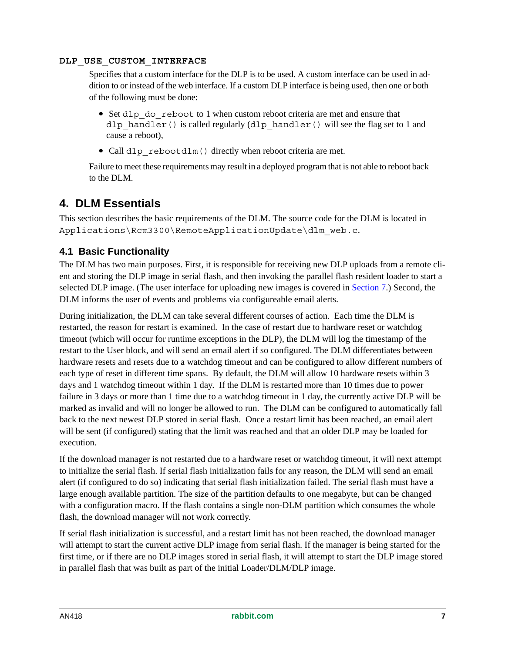#### **DLP\_USE\_CUSTOM\_INTERFACE**

Specifies that a custom interface for the DLP is to be used. A custom interface can be used in addition to or instead of the web interface. If a custom DLP interface is being used, then one or both of the following must be done:

- Set dlp\_do\_reboot to 1 when custom reboot criteria are met and ensure that dlp\_handler() is called regularly (dlp\_handler() will see the flag set to 1 and cause a reboot),
- Call dlp rebootdlm() directly when reboot criteria are met.

Failure to meet these requirements may result in a deployed program that is not able to reboot back to the DLM.

# **4. DLM Essentials**

This section describes the basic requirements of the DLM. The source code for the DLM is located in Applications\Rcm3300\RemoteApplicationUpdate\dlm\_web.c.

## **4.1 Basic Functionality**

The DLM has two main purposes. First, it is responsible for receiving new DLP uploads from a remote client and storing the DLP image in serial flash, and then invoking the parallel flash resident loader to start a selected DLP image. (The user interface for uploading new images is covered in [Section 7.](#page-14-0)) Second, the DLM informs the user of events and problems via configureable email alerts.

During initialization, the DLM can take several different courses of action. Each time the DLM is restarted, the reason for restart is examined. In the case of restart due to hardware reset or watchdog timeout (which will occur for runtime exceptions in the DLP), the DLM will log the timestamp of the restart to the User block, and will send an email alert if so configured. The DLM differentiates between hardware resets and resets due to a watchdog timeout and can be configured to allow different numbers of each type of reset in different time spans. By default, the DLM will allow 10 hardware resets within 3 days and 1 watchdog timeout within 1 day. If the DLM is restarted more than 10 times due to power failure in 3 days or more than 1 time due to a watchdog timeout in 1 day, the currently active DLP will be marked as invalid and will no longer be allowed to run. The DLM can be configured to automatically fall back to the next newest DLP stored in serial flash. Once a restart limit has been reached, an email alert will be sent (if configured) stating that the limit was reached and that an older DLP may be loaded for execution.

If the download manager is not restarted due to a hardware reset or watchdog timeout, it will next attempt to initialize the serial flash. If serial flash initialization fails for any reason, the DLM will send an email alert (if configured to do so) indicating that serial flash initialization failed. The serial flash must have a large enough available partition. The size of the partition defaults to one megabyte, but can be changed with a configuration macro. If the flash contains a single non-DLM partition which consumes the whole flash, the download manager will not work correctly.

If serial flash initialization is successful, and a restart limit has not been reached, the download manager will attempt to start the current active DLP image from serial flash. If the manager is being started for the first time, or if there are no DLP images stored in serial flash, it will attempt to start the DLP image stored in parallel flash that was built as part of the initial Loader/DLM/DLP image.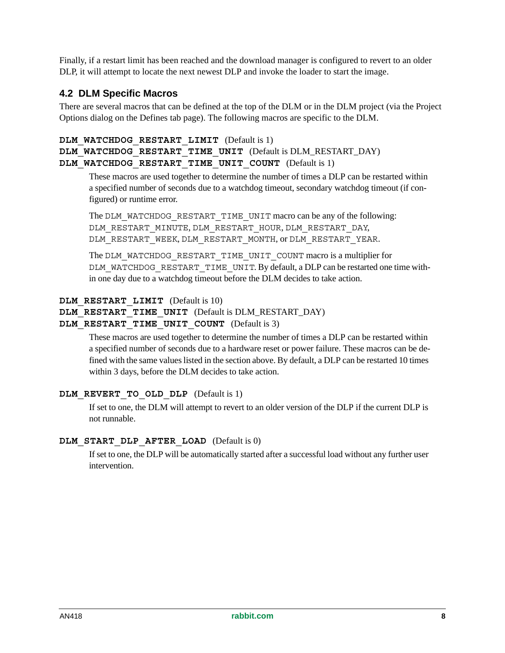Finally, if a restart limit has been reached and the download manager is configured to revert to an older DLP, it will attempt to locate the next newest DLP and invoke the loader to start the image.

# **4.2 DLM Specific Macros**

There are several macros that can be defined at the top of the DLM or in the DLM project (via the Project Options dialog on the Defines tab page). The following macros are specific to the DLM.

```
DLM WATCHDOG RESTART LIMIT (Default is 1)
DLM_WATCHDOG_RESTART_TIME_UNIT (Default is DLM_RESTART_DAY)
DLM WATCHDOG RESTART TIME UNIT COUNT (Default is 1)
```
These macros are used together to determine the number of times a DLP can be restarted within a specified number of seconds due to a watchdog timeout, secondary watchdog timeout (if configured) or runtime error.

The DLM\_WATCHDOG\_RESTART\_TIME\_UNIT macro can be any of the following: DLM\_RESTART\_MINUTE, DLM\_RESTART\_HOUR, DLM\_RESTART\_DAY, DLM\_RESTART\_WEEK, DLM\_RESTART\_MONTH, or DLM\_RESTART\_YEAR.

The DLM\_WATCHDOG\_RESTART\_TIME\_UNIT\_COUNT macro is a multiplier for DLM\_WATCHDOG\_RESTART\_TIME\_UNIT. By default, a DLP can be restarted one time within one day due to a watchdog timeout before the DLM decides to take action.

#### DLM RESTART LIMIT (Default is 10)

**DLM\_RESTART\_TIME\_UNIT** (Default is DLM\_RESTART\_DAY)

```
DLM RESTART TIME UNIT COUNT (Default is 3)
```
These macros are used together to determine the number of times a DLP can be restarted within a specified number of seconds due to a hardware reset or power failure. These macros can be defined with the same values listed in the section above. By default, a DLP can be restarted 10 times within 3 days, before the DLM decides to take action.

#### **DLM\_REVERT\_TO\_OLD\_DLP** (Default is 1)

If set to one, the DLM will attempt to revert to an older version of the DLP if the current DLP is not runnable.

#### **DLM\_START\_DLP\_AFTER\_LOAD** (Default is 0)

If set to one, the DLP will be automatically started after a successful load without any further user intervention.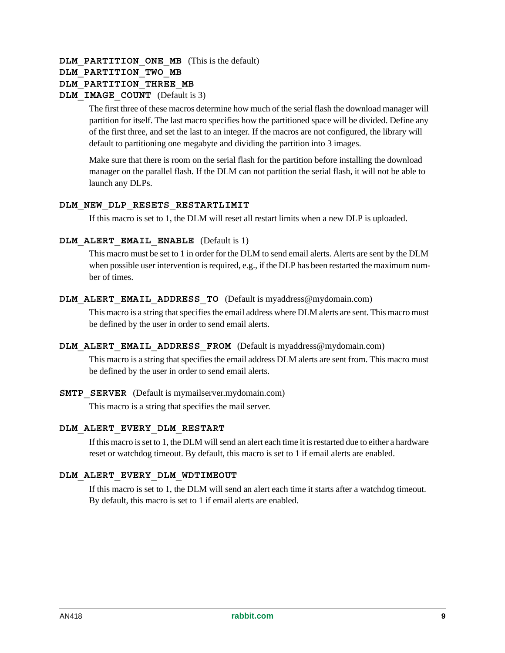### **DLM\_PARTITION\_ONE\_MB** (This is the default)

#### **DLM\_PARTITION\_TWO\_MB**

#### **DLM\_PARTITION\_THREE\_MB**

#### **DLM\_IMAGE\_COUNT** (Default is 3)

The first three of these macros determine how much of the serial flash the download manager will partition for itself. The last macro specifies how the partitioned space will be divided. Define any of the first three, and set the last to an integer. If the macros are not configured, the library will default to partitioning one megabyte and dividing the partition into 3 images.

Make sure that there is room on the serial flash for the partition before installing the download manager on the parallel flash. If the DLM can not partition the serial flash, it will not be able to launch any DLPs.

#### **DLM\_NEW\_DLP\_RESETS\_RESTARTLIMIT**

If this macro is set to 1, the DLM will reset all restart limits when a new DLP is uploaded.

#### **DLM\_ALERT\_EMAIL\_ENABLE** (Default is 1)

This macro must be set to 1 in order for the DLM to send email alerts. Alerts are sent by the DLM when possible user intervention is required, e.g., if the DLP has been restarted the maximum number of times.

#### **DLM\_ALERT\_EMAIL\_ADDRESS\_TO** (Default is myaddress@mydomain.com)

This macro is a string that specifies the email address where DLM alerts are sent. This macro must be defined by the user in order to send email alerts.

#### **DLM\_ALERT\_EMAIL\_ADDRESS\_FROM** (Default is myaddress@mydomain.com)

This macro is a string that specifies the email address DLM alerts are sent from. This macro must be defined by the user in order to send email alerts.

#### **SMTP** SERVER (Default is mymailserver.mydomain.com)

This macro is a string that specifies the mail server.

#### **DLM\_ALERT\_EVERY\_DLM\_RESTART**

If this macro is set to 1, the DLM will send an alert each time it is restarted due to either a hardware reset or watchdog timeout. By default, this macro is set to 1 if email alerts are enabled.

#### **DLM\_ALERT\_EVERY\_DLM\_WDTIMEOUT**

If this macro is set to 1, the DLM will send an alert each time it starts after a watchdog timeout. By default, this macro is set to 1 if email alerts are enabled.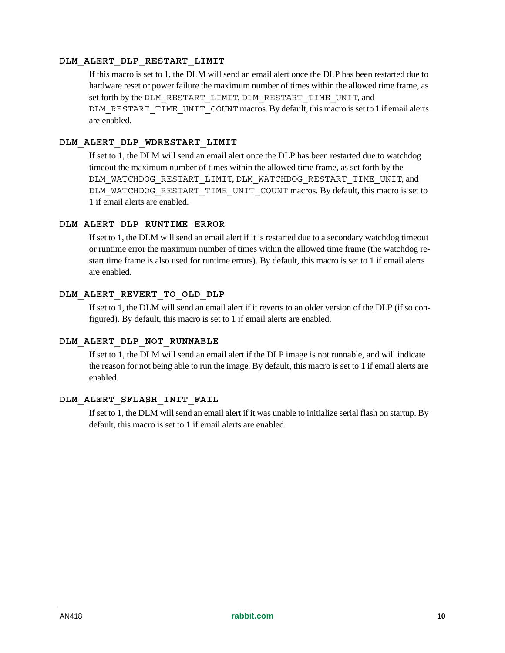#### **DLM\_ALERT\_DLP\_RESTART\_LIMIT**

If this macro is set to 1, the DLM will send an email alert once the DLP has been restarted due to hardware reset or power failure the maximum number of times within the allowed time frame, as set forth by the DLM\_RESTART\_LIMIT, DLM\_RESTART\_TIME\_UNIT, and DLM\_RESTART\_TIME\_UNIT\_COUNT macros. By default, this macro is set to 1 if email alerts are enabled.

#### **DLM\_ALERT\_DLP\_WDRESTART\_LIMIT**

If set to 1, the DLM will send an email alert once the DLP has been restarted due to watchdog timeout the maximum number of times within the allowed time frame, as set forth by the DLM\_WATCHDOG\_RESTART\_LIMIT, DLM\_WATCHDOG\_RESTART\_TIME\_UNIT, and DLM\_WATCHDOG\_RESTART\_TIME\_UNIT\_COUNT macros. By default, this macro is set to 1 if email alerts are enabled.

#### **DLM\_ALERT\_DLP\_RUNTIME\_ERROR**

If set to 1, the DLM will send an email alert if it is restarted due to a secondary watchdog timeout or runtime error the maximum number of times within the allowed time frame (the watchdog restart time frame is also used for runtime errors). By default, this macro is set to 1 if email alerts are enabled.

#### **DLM\_ALERT\_REVERT\_TO\_OLD\_DLP**

If set to 1, the DLM will send an email alert if it reverts to an older version of the DLP (if so configured). By default, this macro is set to 1 if email alerts are enabled.

#### **DLM\_ALERT\_DLP\_NOT\_RUNNABLE**

If set to 1, the DLM will send an email alert if the DLP image is not runnable, and will indicate the reason for not being able to run the image. By default, this macro is set to 1 if email alerts are enabled.

#### **DLM\_ALERT\_SFLASH\_INIT\_FAIL**

If set to 1, the DLM will send an email alert if it was unable to initialize serial flash on startup. By default, this macro is set to 1 if email alerts are enabled.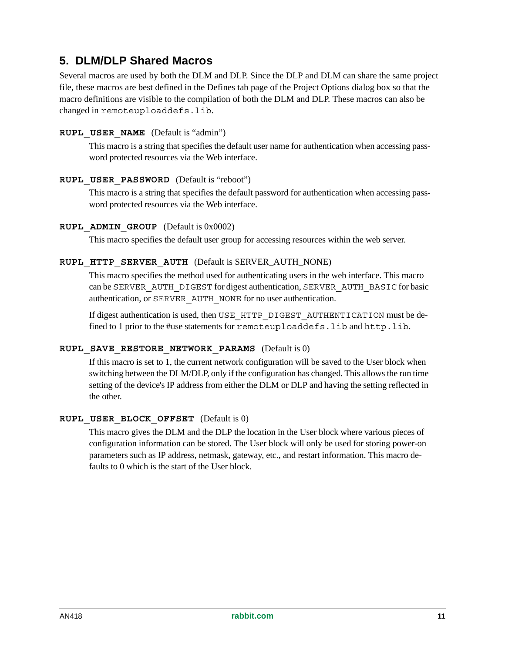# **5. DLM/DLP Shared Macros**

Several macros are used by both the DLM and DLP. Since the DLP and DLM can share the same project file, these macros are best defined in the Defines tab page of the Project Options dialog box so that the macro definitions are visible to the compilation of both the DLM and DLP. These macros can also be changed in remoteuploaddefs.lib.

#### **RUPL\_USER\_NAME** (Default is "admin")

This macro is a string that specifies the default user name for authentication when accessing password protected resources via the Web interface.

#### **RUPL\_USER\_PASSWORD** (Default is "reboot")

This macro is a string that specifies the default password for authentication when accessing password protected resources via the Web interface.

#### **RUPL\_ADMIN\_GROUP** (Default is 0x0002)

This macro specifies the default user group for accessing resources within the web server.

#### **RUPL\_HTTP\_SERVER\_AUTH** (Default is SERVER\_AUTH\_NONE)

This macro specifies the method used for authenticating users in the web interface. This macro can be SERVER\_AUTH\_DIGEST for digest authentication, SERVER\_AUTH\_BASIC for basic authentication, or SERVER\_AUTH\_NONE for no user authentication.

If digest authentication is used, then USE\_HTTP\_DIGEST\_AUTHENTICATION must be defined to 1 prior to the #use statements for remoteuploaddefs.lib and http.lib.

#### **RUPL\_SAVE\_RESTORE\_NETWORK\_PARAMS** (Default is 0)

If this macro is set to 1, the current network configuration will be saved to the User block when switching between the DLM/DLP, only if the configuration has changed. This allows the run time setting of the device's IP address from either the DLM or DLP and having the setting reflected in the other.

#### **RUPL\_USER\_BLOCK\_OFFSET** (Default is 0)

This macro gives the DLM and the DLP the location in the User block where various pieces of configuration information can be stored. The User block will only be used for storing power-on parameters such as IP address, netmask, gateway, etc., and restart information. This macro defaults to 0 which is the start of the User block.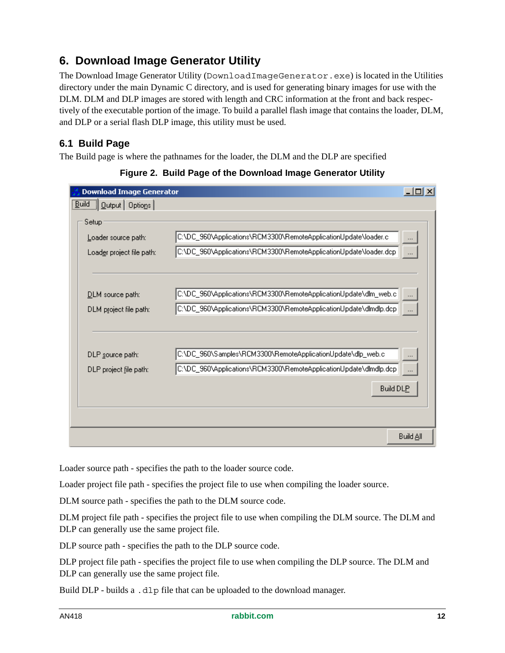# <span id="page-11-0"></span>**6. Download Image Generator Utility**

The Download Image Generator Utility (DownloadImageGenerator.exe) is located in the Utilities directory under the main Dynamic C directory, and is used for generating binary images for use with the DLM. DLM and DLP images are stored with length and CRC information at the front and back respectively of the executable portion of the image. To build a parallel flash image that contains the loader, DLM, and DLP or a serial flash DLP image, this utility must be used.

# **6.1 Build Page**

The Build page is where the pathnames for the loader, the DLM and the DLP are specified

| <b>Download Image Generator</b> |                                                                   | $\Box$ $\Box$ $\times$ |
|---------------------------------|-------------------------------------------------------------------|------------------------|
| <b>Build</b>   Output   Options |                                                                   |                        |
| Setup                           |                                                                   |                        |
| Loader source path:             | C:\DC_960\Applications\RCM3300\RemoteApplicationUpdate\loader.c   |                        |
| Loader project file path:       | C:\DC_960\Applications\RCM3300\RemoteApplicationUpdate\loader.dcp |                        |
|                                 |                                                                   |                        |
|                                 |                                                                   |                        |
| DLM source path:                | C:\DC_960\Applications\RCM3300\RemoteApplicationUpdate\dlm_web.c  |                        |
| DLM project file path:          | C:\DC_960\Applications\RCM3300\RemoteApplicationUpdate\dlmdlp.dcp |                        |
|                                 |                                                                   |                        |
|                                 |                                                                   |                        |
| DLP source path:                | C:\DC_960\Samples\RCM3300\RemoteApplicationUpdate\dlp_web.c       |                        |
| DLP project file path:          | C:\DC_960\Applications\RCM3300\RemoteApplicationUpdate\dImdlp.dcp |                        |
|                                 |                                                                   |                        |
|                                 | <b>Build DLP</b>                                                  |                        |
|                                 |                                                                   |                        |
|                                 |                                                                   |                        |
|                                 |                                                                   | Build All              |
|                                 |                                                                   |                        |

**Figure 2. Build Page of the Download Image Generator Utility**

Loader source path - specifies the path to the loader source code.

Loader project file path - specifies the project file to use when compiling the loader source.

DLM source path - specifies the path to the DLM source code.

DLM project file path - specifies the project file to use when compiling the DLM source. The DLM and DLP can generally use the same project file.

DLP source path - specifies the path to the DLP source code.

DLP project file path - specifies the project file to use when compiling the DLP source. The DLM and DLP can generally use the same project file.

Build DLP - builds a .dlp file that can be uploaded to the download manager.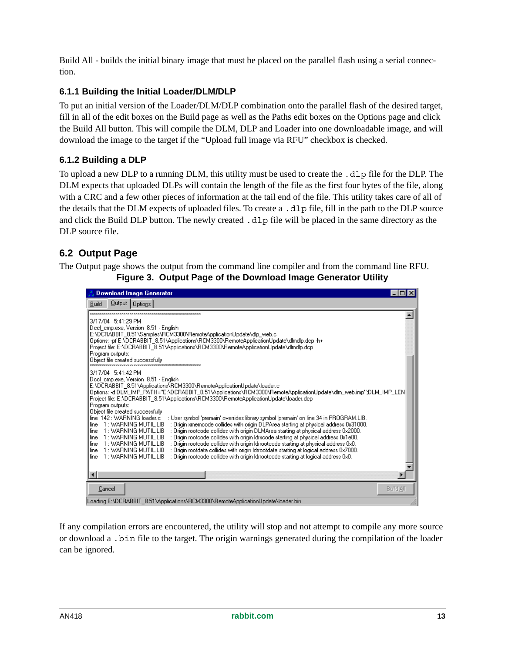Build All - builds the initial binary image that must be placed on the parallel flash using a serial connection.

### **6.1.1 Building the Initial Loader/DLM/DLP**

To put an initial version of the Loader/DLM/DLP combination onto the parallel flash of the desired target, fill in all of the edit boxes on the Build page as well as the Paths edit boxes on the Options page and click the Build All button. This will compile the DLM, DLP and Loader into one downloadable image, and will download the image to the target if the "Upload full image via RFU" checkbox is checked.

#### **6.1.2 Building a DLP**

To upload a new DLP to a running DLM, this utility must be used to create the .dlp file for the DLP. The DLM expects that uploaded DLPs will contain the length of the file as the first four bytes of the file, along with a CRC and a few other pieces of information at the tail end of the file. This utility takes care of all of the details that the DLM expects of uploaded files. To create a .dlp file, fill in the path to the DLP source and click the Build DLP button. The newly created .dlp file will be placed in the same directory as the DLP source file.

# **6.2 Output Page**

The Output page shows the output from the command line compiler and from the command line RFU.





If any compilation errors are encountered, the utility will stop and not attempt to compile any more source or download a .bin file to the target. The origin warnings generated during the compilation of the loader can be ignored.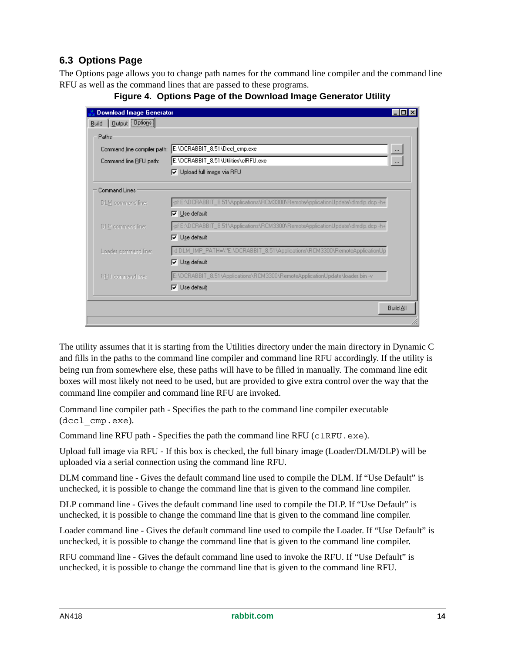# **6.3 Options Page**

The Options page allows you to change path names for the command line compiler and the command line RFU as well as the command lines that are passed to these programs.

|  |  | Figure 4. Options Page of the Download Image Generator Utility |  |  |  |
|--|--|----------------------------------------------------------------|--|--|--|
|--|--|----------------------------------------------------------------|--|--|--|

| Download Image Generator |                                                                                  |           |
|--------------------------|----------------------------------------------------------------------------------|-----------|
| Build   Output Dptions   |                                                                                  |           |
| Paths                    |                                                                                  |           |
|                          | Command line compiler path: E:\DCRABBIT_8.51\Dccl_cmp.exe                        | $\cdots$  |
| Command line RFU path:   | E:\DCRABBIT_8.51\Utilities\clRFU.exe                                             | $\cdots$  |
|                          | Upload full image via RFU<br>ঢ়                                                  |           |
| <b>Command Lines</b>     |                                                                                  |           |
| DLM command line:        | -pf E:\DCRABBIT_8.51\Applications\RCM3300\RemoteApplicationUpdate\dlmdlp.dcp-h+  |           |
|                          | $\nabla$ Use default                                                             |           |
| DLP command line:        | -pf E:\DCRABBIT_8.51\Applications\RCM3300\RemoteApplicationUpdate\dlmdlp.dcp -h+ |           |
|                          | $\nabla$ Use default                                                             |           |
| Loader command line:     | -d DLM_IMP_PATH=\"E:\DCRABBIT_8.51\Applications\RCM3300\RemoteApplicationUp      |           |
|                          | $\nabla$ Use default                                                             |           |
| <b>RFU</b> command line: | E:\DCRABBIT_8.51\Applications\RCM3300\RemoteApplicationUpdate\loader.bin -v      |           |
|                          | Use default<br>⊽                                                                 |           |
|                          |                                                                                  |           |
|                          |                                                                                  | Build All |
|                          |                                                                                  |           |

The utility assumes that it is starting from the Utilities directory under the main directory in Dynamic C and fills in the paths to the command line compiler and command line RFU accordingly. If the utility is being run from somewhere else, these paths will have to be filled in manually. The command line edit boxes will most likely not need to be used, but are provided to give extra control over the way that the command line compiler and command line RFU are invoked.

Command line compiler path - Specifies the path to the command line compiler executable (dccl\_cmp.exe).

Command line RFU path - Specifies the path the command line RFU (clRFU.exe).

Upload full image via RFU - If this box is checked, the full binary image (Loader/DLM/DLP) will be uploaded via a serial connection using the command line RFU.

DLM command line - Gives the default command line used to compile the DLM. If "Use Default" is unchecked, it is possible to change the command line that is given to the command line compiler.

DLP command line - Gives the default command line used to compile the DLP. If "Use Default" is unchecked, it is possible to change the command line that is given to the command line compiler.

Loader command line - Gives the default command line used to compile the Loader. If "Use Default" is unchecked, it is possible to change the command line that is given to the command line compiler.

RFU command line - Gives the default command line used to invoke the RFU. If "Use Default" is unchecked, it is possible to change the command line that is given to the command line RFU.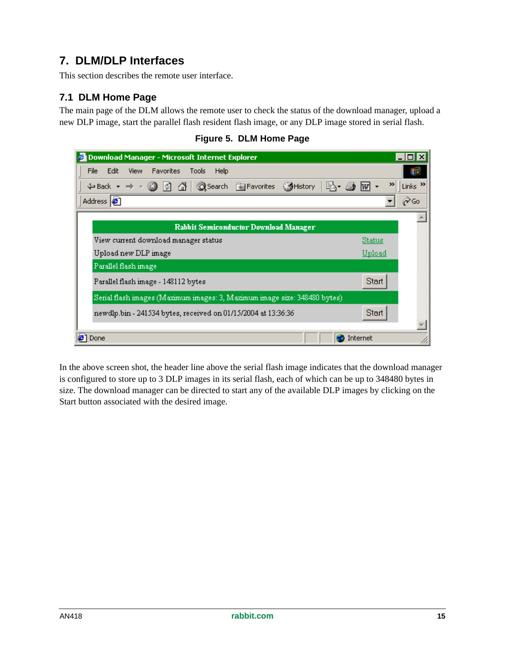# <span id="page-14-0"></span>**7. DLM/DLP Interfaces**

This section describes the remote user interface.

## **7.1 DLM Home Page**

The main page of the DLM allows the remote user to check the status of the download manager, upload a new DLP image, start the parallel flash resident flash image, or any DLP image stored in serial flash.

**Figure 5. DLM Home Page**

| Download Manager - Microsoft Internet Explorer                                                                                                                                                                                                                                                                                                                                                                                                                                                          | $\overline{\phantom{a}}$ . $\overline{\phantom{a}}$ |
|---------------------------------------------------------------------------------------------------------------------------------------------------------------------------------------------------------------------------------------------------------------------------------------------------------------------------------------------------------------------------------------------------------------------------------------------------------------------------------------------------------|-----------------------------------------------------|
| – Edit<br>File<br><b>Favorites</b><br><b>View</b><br>Help<br>Tools                                                                                                                                                                                                                                                                                                                                                                                                                                      |                                                     |
| $\rightarrow$<br>$\begin{picture}(120,10) \put(0,0){\line(1,0){10}} \put(15,0){\line(1,0){10}} \put(15,0){\line(1,0){10}} \put(15,0){\line(1,0){10}} \put(15,0){\line(1,0){10}} \put(15,0){\line(1,0){10}} \put(15,0){\line(1,0){10}} \put(15,0){\line(1,0){10}} \put(15,0){\line(1,0){10}} \put(15,0){\line(1,0){10}} \put(15,0){\line(1,0){10}} \put(15,0){\line($<br>Search a Favorites<br><b>SHistory</b><br>W<br>団<br>BA-<br>$\Leftrightarrow$ Back $\star \Rightarrow \star \textcircled{3}$<br>4 | Links <sup>&gt;&gt;</sup>                           |
| Address <sup>e</sup>                                                                                                                                                                                                                                                                                                                                                                                                                                                                                    | ⊘Go                                                 |
|                                                                                                                                                                                                                                                                                                                                                                                                                                                                                                         |                                                     |
| Rabbit Semiconductor Download Manager                                                                                                                                                                                                                                                                                                                                                                                                                                                                   |                                                     |
| View current download manager status<br><b>Status</b>                                                                                                                                                                                                                                                                                                                                                                                                                                                   |                                                     |
| Upload new DLP image<br>Upload                                                                                                                                                                                                                                                                                                                                                                                                                                                                          |                                                     |
| Parallel flash image                                                                                                                                                                                                                                                                                                                                                                                                                                                                                    |                                                     |
| <b>Start</b><br>Parallel flash image - 148112 bytes                                                                                                                                                                                                                                                                                                                                                                                                                                                     |                                                     |
| Serial flash images (Maximum images: 3, Maximum image size: 348480 bytes)                                                                                                                                                                                                                                                                                                                                                                                                                               |                                                     |
| <b>Start</b><br>newdlp.bin - 241534 bytes, received on 01/15/2004 at 13:36:36                                                                                                                                                                                                                                                                                                                                                                                                                           |                                                     |
| Internet<br>Done                                                                                                                                                                                                                                                                                                                                                                                                                                                                                        |                                                     |

In the above screen shot, the header line above the serial flash image indicates that the download manager is configured to store up to 3 DLP images in its serial flash, each of which can be up to 348480 bytes in size. The download manager can be directed to start any of the available DLP images by clicking on the Start button associated with the desired image.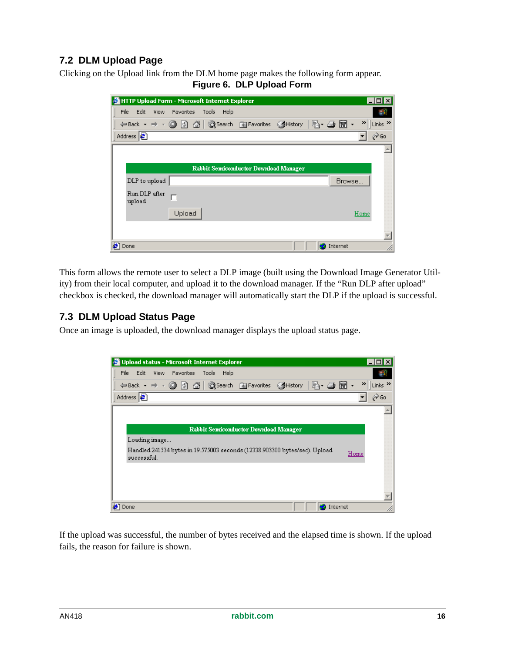# **7.2 DLM Upload Page**

Clicking on the Upload link from the DLM home page makes the following form appear. **Figure 6. DLP Upload Form**

| <b>B</b> HTTP Upload Form - Microsoft Internet Explorer                                              | $\Box$ D $x$                                   |
|------------------------------------------------------------------------------------------------------|------------------------------------------------|
| Edit<br><b>File</b><br>View<br>Favorites<br><b>Tools</b><br>Help                                     | ш                                              |
| 4 QSearch Ma Favorites GHistory<br>岡<br>$\Leftrightarrow$ Back $\rightarrow$ $\rightarrow$ $\otimes$ | $\rightarrow$<br>Links $\mathbf{v}$<br>卧手<br>▩ |
| Address $\left  \bullet \right $                                                                     | ⊘Go                                            |
|                                                                                                      |                                                |
|                                                                                                      |                                                |
| <b>Rabbit Semiconductor Download Manager</b>                                                         |                                                |
| DLP to upload                                                                                        | Browse                                         |
| Run DLP after<br>upload                                                                              |                                                |
| Upload                                                                                               | Home                                           |
|                                                                                                      |                                                |
| Done                                                                                                 | Internet                                       |

This form allows the remote user to select a DLP image (built using the Download Image Generator Utility) from their local computer, and upload it to the download manager. If the "Run DLP after upload" checkbox is checked, the download manager will automatically start the DLP if the upload is successful.

### **7.3 DLM Upload Status Page**

Once an image is uploaded, the download manager displays the upload status page.

| Upload status - Microsoft Internet Explorer                                                       | $\Box$                         |
|---------------------------------------------------------------------------------------------------|--------------------------------|
| <b>File</b><br>Edit<br><b>Favorites</b><br><b>View</b><br>Tools<br>Help                           |                                |
| ↓Back → → ◎ 図 企   ◎Search 国Favorites ③History<br>5. 4 m                                           | »<br>Links <sup>&gt;&gt;</sup> |
| Address <sup>e</sup>                                                                              | ⊘Go                            |
|                                                                                                   |                                |
|                                                                                                   |                                |
| Rabbit Semiconductor Download Manager                                                             |                                |
| Loading image                                                                                     |                                |
| Handled 241534 bytes in 19.575003 seconds (12338.903300 bytes/sec). Upload<br>Home<br>successful. |                                |
|                                                                                                   |                                |
|                                                                                                   |                                |
|                                                                                                   |                                |
|                                                                                                   |                                |
| æ1<br>Internet<br>Done                                                                            |                                |

If the upload was successful, the number of bytes received and the elapsed time is shown. If the upload fails, the reason for failure is shown.